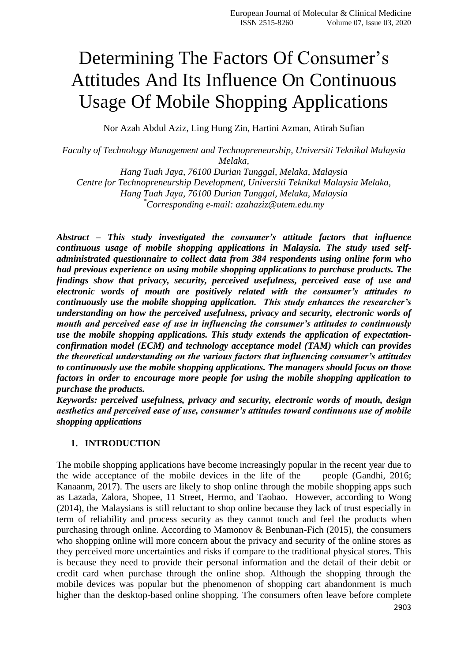# Determining The Factors Of Consumer's Attitudes And Its Influence On Continuous Usage Of Mobile Shopping Applications

Nor Azah Abdul Aziz, Ling Hung Zin, Hartini Azman, Atirah Sufian

*Faculty of Technology Management and Technopreneurship, Universiti Teknikal Malaysia Melaka,*

*Hang Tuah Jaya, 76100 Durian Tunggal, Melaka, Malaysia Centre for Technopreneurship Development, Universiti Teknikal Malaysia Melaka, Hang Tuah Jaya, 76100 Durian Tunggal, Melaka, Malaysia \*Corresponding e-mail: azahaziz@utem.edu.my*

*Abstract – This study investigated the consumer's attitude factors that influence continuous usage of mobile shopping applications in Malaysia. The study used selfadministrated questionnaire to collect data from 384 respondents using online form who had previous experience on using mobile shopping applications to purchase products. The findings show that privacy, security, perceived usefulness, perceived ease of use and electronic words of mouth are positively related with the consumer's attitudes to continuously use the mobile shopping application. This study enhances the researcher's understanding on how the perceived usefulness, privacy and security, electronic words of mouth and perceived ease of use in influencing the consumer's attitudes to continuously use the mobile shopping applications. This study extends the application of expectationconfirmation model (ECM) and technology acceptance model (TAM) which can provides the theoretical understanding on the various factors that influencing consumer's attitudes to continuously use the mobile shopping applications. The managers should focus on those factors in order to encourage more people for using the mobile shopping application to purchase the products.* 

*Keywords: perceived usefulness, privacy and security, electronic words of mouth, design aesthetics and perceived ease of use, consumer's attitudes toward continuous use of mobile shopping applications*

## **1. INTRODUCTION**

The mobile shopping applications have become increasingly popular in the recent year due to the wide acceptance of the mobile devices in the life of the people (Gandhi, 2016; Kanaanm, 2017). The users are likely to shop online through the mobile shopping apps such as Lazada, Zalora, Shopee, 11 Street, Hermo, and Taobao. However, according to Wong (2014), the Malaysians is still reluctant to shop online because they lack of trust especially in term of reliability and process security as they cannot touch and feel the products when purchasing through online. According to Mamonov & Benbunan-Fich (2015), the consumers who shopping online will more concern about the privacy and security of the online stores as they perceived more uncertainties and risks if compare to the traditional physical stores. This is because they need to provide their personal information and the detail of their debit or credit card when purchase through the online shop. Although the shopping through the mobile devices was popular but the phenomenon of shopping cart abandonment is much higher than the desktop-based online shopping. The consumers often leave before complete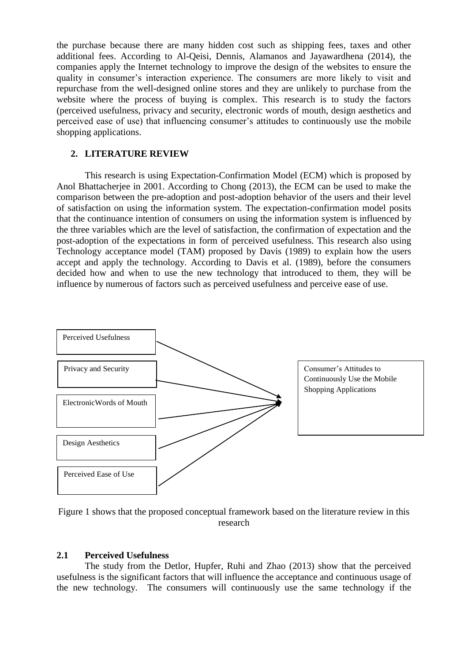the purchase because there are many hidden cost such as shipping fees, taxes and other additional fees. According to Al-Qeisi, Dennis, Alamanos and Jayawardhena (2014), the companies apply the Internet technology to improve the design of the websites to ensure the quality in consumer's interaction experience. The consumers are more likely to visit and repurchase from the well-designed online stores and they are unlikely to purchase from the website where the process of buying is complex. This research is to study the factors (perceived usefulness, privacy and security, electronic words of mouth, design aesthetics and perceived ease of use) that influencing consumer's attitudes to continuously use the mobile shopping applications.

## **2. LITERATURE REVIEW**

This research is using Expectation-Confirmation Model (ECM) which is proposed by Anol Bhattacherjee in 2001. According to Chong (2013), the ECM can be used to make the comparison between the pre-adoption and post-adoption behavior of the users and their level of satisfaction on using the information system. The expectation-confirmation model posits that the continuance intention of consumers on using the information system is influenced by the three variables which are the level of satisfaction, the confirmation of expectation and the post-adoption of the expectations in form of perceived usefulness. This research also using Technology acceptance model (TAM) proposed by Davis (1989) to explain how the users accept and apply the technology. According to Davis et al. (1989), before the consumers decided how and when to use the new technology that introduced to them, they will be influence by numerous of factors such as perceived usefulness and perceive ease of use.



Figure 1 shows that the proposed conceptual framework based on the literature review in this research

## **2.1 Perceived Usefulness**

The study from the Detlor, Hupfer, Ruhi and Zhao (2013) show that the perceived usefulness is the significant factors that will influence the acceptance and continuous usage of the new technology. The consumers will continuously use the same technology if the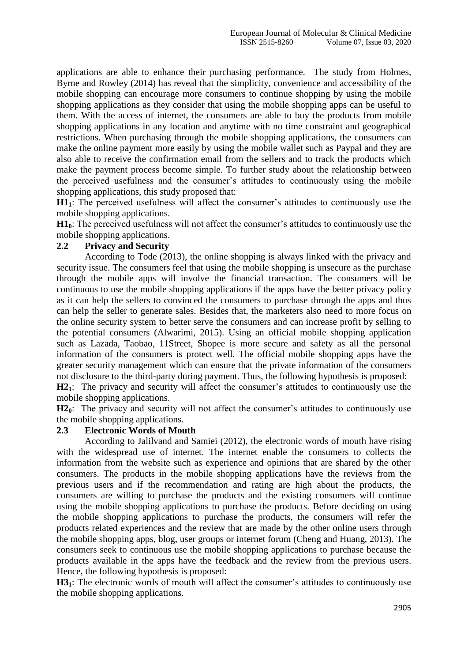applications are able to enhance their purchasing performance. The study from Holmes, Byrne and Rowley (2014) has reveal that the simplicity, convenience and accessibility of the mobile shopping can encourage more consumers to continue shopping by using the mobile shopping applications as they consider that using the mobile shopping apps can be useful to them. With the access of internet, the consumers are able to buy the products from mobile shopping applications in any location and anytime with no time constraint and geographical restrictions. When purchasing through the mobile shopping applications, the consumers can make the online payment more easily by using the mobile wallet such as Paypal and they are also able to receive the confirmation email from the sellers and to track the products which make the payment process become simple. To further study about the relationship between the perceived usefulness and the consumer's attitudes to continuously using the mobile shopping applications, this study proposed that:

**H11**: The perceived usefulness will affect the consumer's attitudes to continuously use the mobile shopping applications.

**H10**: The perceived usefulness will not affect the consumer's attitudes to continuously use the mobile shopping applications.

## **2.2 Privacy and Security**

According to Tode (2013), the online shopping is always linked with the privacy and security issue. The consumers feel that using the mobile shopping is unsecure as the purchase through the mobile apps will involve the financial transaction. The consumers will be continuous to use the mobile shopping applications if the apps have the better privacy policy as it can help the sellers to convinced the consumers to purchase through the apps and thus can help the seller to generate sales. Besides that, the marketers also need to more focus on the online security system to better serve the consumers and can increase profit by selling to the potential consumers (Alwarimi, 2015). Using an official mobile shopping application such as Lazada, Taobao, 11Street, Shopee is more secure and safety as all the personal information of the consumers is protect well. The official mobile shopping apps have the greater security management which can ensure that the private information of the consumers not disclosure to the third-party during payment. Thus, the following hypothesis is proposed:

**H21**: The privacy and security will affect the consumer's attitudes to continuously use the mobile shopping applications.

**H2**<sup>0</sup>: The privacy and security will not affect the consumer's attitudes to continuously use the mobile shopping applications.

## **2.3 Electronic Words of Mouth**

According to Jalilvand and Samiei (2012), the electronic words of mouth have rising with the widespread use of internet. The internet enable the consumers to collects the information from the website such as experience and opinions that are shared by the other consumers. The products in the mobile shopping applications have the reviews from the previous users and if the recommendation and rating are high about the products, the consumers are willing to purchase the products and the existing consumers will continue using the mobile shopping applications to purchase the products. Before deciding on using the mobile shopping applications to purchase the products, the consumers will refer the products related experiences and the review that are made by the other online users through the mobile shopping apps, blog, user groups or internet forum (Cheng and Huang, 2013). The consumers seek to continuous use the mobile shopping applications to purchase because the products available in the apps have the feedback and the review from the previous users. Hence, the following hypothesis is proposed:

**H31**: The electronic words of mouth will affect the consumer's attitudes to continuously use the mobile shopping applications.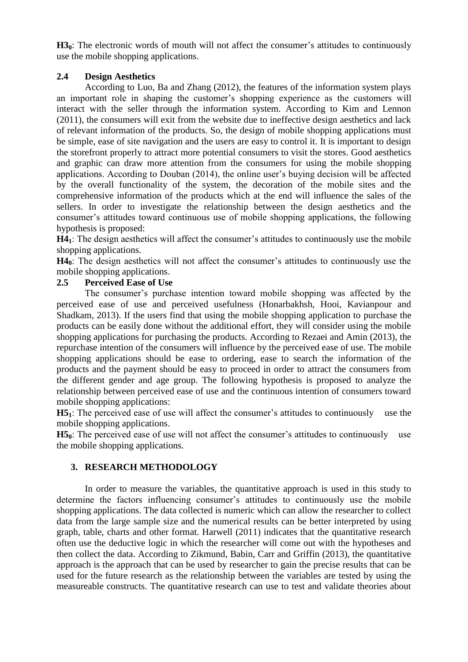H<sub>3</sub><sup>0</sup>: The electronic words of mouth will not affect the consumer's attitudes to continuously use the mobile shopping applications.

# **2.4 Design Aesthetics**

According to Luo, Ba and Zhang (2012), the features of the information system plays an important role in shaping the customer's shopping experience as the customers will interact with the seller through the information system. According to Kim and Lennon (2011), the consumers will exit from the website due to ineffective design aesthetics and lack of relevant information of the products. So, the design of mobile shopping applications must be simple, ease of site navigation and the users are easy to control it. It is important to design the storefront properly to attract more potential consumers to visit the stores. Good aesthetics and graphic can draw more attention from the consumers for using the mobile shopping applications. According to Douban (2014), the online user's buying decision will be affected by the overall functionality of the system, the decoration of the mobile sites and the comprehensive information of the products which at the end will influence the sales of the sellers. In order to investigate the relationship between the design aesthetics and the consumer's attitudes toward continuous use of mobile shopping applications, the following hypothesis is proposed:

**H41**: The design aesthetics will affect the consumer's attitudes to continuously use the mobile shopping applications.

**H40**: The design aesthetics will not affect the consumer's attitudes to continuously use the mobile shopping applications.

# **2.5 Perceived Ease of Use**

The consumer's purchase intention toward mobile shopping was affected by the perceived ease of use and perceived usefulness (Honarbakhsh, Hooi, Kavianpour and Shadkam, 2013). If the users find that using the mobile shopping application to purchase the products can be easily done without the additional effort, they will consider using the mobile shopping applications for purchasing the products. According to Rezaei and Amin (2013), the repurchase intention of the consumers will influence by the perceived ease of use. The mobile shopping applications should be ease to ordering, ease to search the information of the products and the payment should be easy to proceed in order to attract the consumers from the different gender and age group. The following hypothesis is proposed to analyze the relationship between perceived ease of use and the continuous intention of consumers toward mobile shopping applications:

**H51**: The perceived ease of use will affect the consumer's attitudes to continuously use the mobile shopping applications.

**H5**<sup> $\alpha$ </sup>: The perceived ease of use will not affect the consumer's attitudes to continuously use the mobile shopping applications.

# **3. RESEARCH METHODOLOGY**

In order to measure the variables, the quantitative approach is used in this study to determine the factors influencing consumer's attitudes to continuously use the mobile shopping applications. The data collected is numeric which can allow the researcher to collect data from the large sample size and the numerical results can be better interpreted by using graph, table, charts and other format. Harwell (2011) indicates that the quantitative research often use the deductive logic in which the researcher will come out with the hypotheses and then collect the data. According to Zikmund, Babin, Carr and Griffin (2013), the quantitative approach is the approach that can be used by researcher to gain the precise results that can be used for the future research as the relationship between the variables are tested by using the measureable constructs. The quantitative research can use to test and validate theories about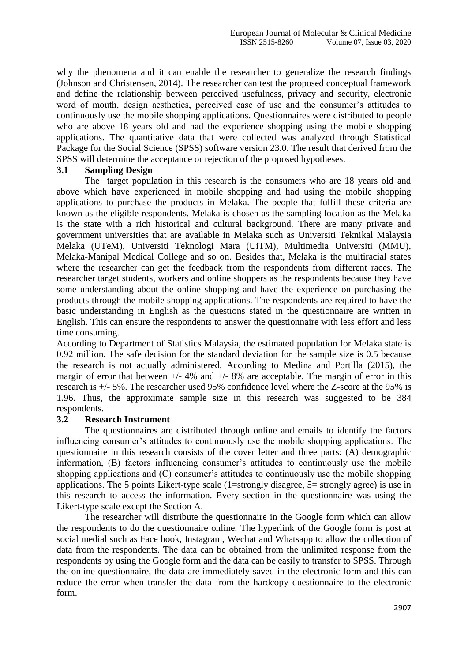why the phenomena and it can enable the researcher to generalize the research findings (Johnson and Christensen, 2014). The researcher can test the proposed conceptual framework and define the relationship between perceived usefulness, privacy and security, electronic word of mouth, design aesthetics, perceived ease of use and the consumer's attitudes to continuously use the mobile shopping applications. Questionnaires were distributed to people who are above 18 years old and had the experience shopping using the mobile shopping applications. The quantitative data that were collected was analyzed through Statistical Package for the Social Science (SPSS) software version 23.0. The result that derived from the SPSS will determine the acceptance or rejection of the proposed hypotheses.

## **3.1 Sampling Design**

The target population in this research is the consumers who are 18 years old and above which have experienced in mobile shopping and had using the mobile shopping applications to purchase the products in Melaka. The people that fulfill these criteria are known as the eligible respondents. Melaka is chosen as the sampling location as the Melaka is the state with a rich historical and cultural background. There are many private and government universities that are available in Melaka such as Universiti Teknikal Malaysia Melaka (UTeM), Universiti Teknologi Mara (UiTM), Multimedia Universiti (MMU), Melaka-Manipal Medical College and so on. Besides that, Melaka is the multiracial states where the researcher can get the feedback from the respondents from different races. The researcher target students, workers and online shoppers as the respondents because they have some understanding about the online shopping and have the experience on purchasing the products through the mobile shopping applications. The respondents are required to have the basic understanding in English as the questions stated in the questionnaire are written in English. This can ensure the respondents to answer the questionnaire with less effort and less time consuming.

According to Department of Statistics Malaysia, the estimated population for Melaka state is 0.92 million. The safe decision for the standard deviation for the sample size is 0.5 because the research is not actually administered. According to Medina and Portilla (2015), the margin of error that between  $+/- 4\%$  and  $+/- 8\%$  are acceptable. The margin of error in this research is +/- 5%. The researcher used 95% confidence level where the Z-score at the 95% is 1.96. Thus, the approximate sample size in this research was suggested to be 384 respondents.

## **3.2 Research Instrument**

The questionnaires are distributed through online and emails to identify the factors influencing consumer's attitudes to continuously use the mobile shopping applications. The questionnaire in this research consists of the cover letter and three parts: (A) demographic information, (B) factors influencing consumer's attitudes to continuously use the mobile shopping applications and (C) consumer's attitudes to continuously use the mobile shopping applications. The 5 points Likert-type scale (1=strongly disagree, 5= strongly agree) is use in this research to access the information. Every section in the questionnaire was using the Likert-type scale except the Section A.

The researcher will distribute the questionnaire in the Google form which can allow the respondents to do the questionnaire online. The hyperlink of the Google form is post at social medial such as Face book, Instagram, Wechat and Whatsapp to allow the collection of data from the respondents. The data can be obtained from the unlimited response from the respondents by using the Google form and the data can be easily to transfer to SPSS. Through the online questionnaire, the data are immediately saved in the electronic form and this can reduce the error when transfer the data from the hardcopy questionnaire to the electronic form.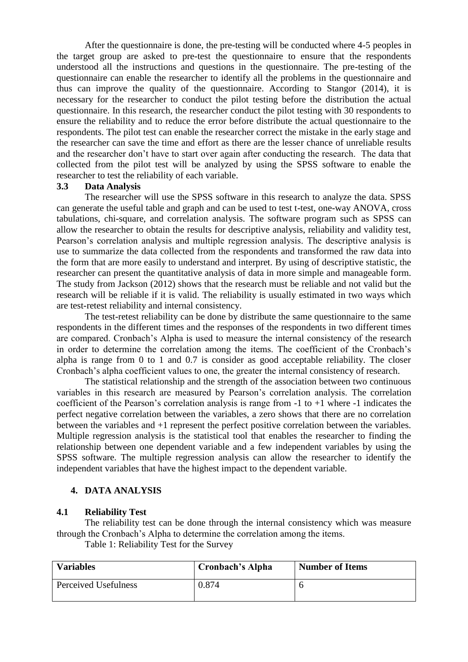After the questionnaire is done, the pre-testing will be conducted where 4-5 peoples in the target group are asked to pre-test the questionnaire to ensure that the respondents understood all the instructions and questions in the questionnaire. The pre-testing of the questionnaire can enable the researcher to identify all the problems in the questionnaire and thus can improve the quality of the questionnaire. According to Stangor (2014), it is necessary for the researcher to conduct the pilot testing before the distribution the actual questionnaire. In this research, the researcher conduct the pilot testing with 30 respondents to ensure the reliability and to reduce the error before distribute the actual questionnaire to the respondents. The pilot test can enable the researcher correct the mistake in the early stage and the researcher can save the time and effort as there are the lesser chance of unreliable results and the researcher don't have to start over again after conducting the research. The data that collected from the pilot test will be analyzed by using the SPSS software to enable the researcher to test the reliability of each variable.

#### **3.3 Data Analysis**

The researcher will use the SPSS software in this research to analyze the data. SPSS can generate the useful table and graph and can be used to test t-test, one-way ANOVA, cross tabulations, chi-square, and correlation analysis. The software program such as SPSS can allow the researcher to obtain the results for descriptive analysis, reliability and validity test, Pearson's correlation analysis and multiple regression analysis. The descriptive analysis is use to summarize the data collected from the respondents and transformed the raw data into the form that are more easily to understand and interpret. By using of descriptive statistic, the researcher can present the quantitative analysis of data in more simple and manageable form. The study from Jackson (2012) shows that the research must be reliable and not valid but the research will be reliable if it is valid. The reliability is usually estimated in two ways which are test-retest reliability and internal consistency.

The test-retest reliability can be done by distribute the same questionnaire to the same respondents in the different times and the responses of the respondents in two different times are compared. Cronbach's Alpha is used to measure the internal consistency of the research in order to determine the correlation among the items. The coefficient of the Cronbach's alpha is range from 0 to 1 and 0.7 is consider as good acceptable reliability. The closer Cronbach's alpha coefficient values to one, the greater the internal consistency of research.

The statistical relationship and the strength of the association between two continuous variables in this research are measured by Pearson's correlation analysis. The correlation coefficient of the Pearson's correlation analysis is range from -1 to +1 where -1 indicates the perfect negative correlation between the variables, a zero shows that there are no correlation between the variables and +1 represent the perfect positive correlation between the variables. Multiple regression analysis is the statistical tool that enables the researcher to finding the relationship between one dependent variable and a few independent variables by using the SPSS software. The multiple regression analysis can allow the researcher to identify the independent variables that have the highest impact to the dependent variable.

## **4. DATA ANALYSIS**

## **4.1 Reliability Test**

The reliability test can be done through the internal consistency which was measure through the Cronbach's Alpha to determine the correlation among the items.

Table 1: Reliability Test for the Survey

| <b>Variables</b>     | Cronbach's Alpha | <b>Number of Items</b> |
|----------------------|------------------|------------------------|
| Perceived Usefulness | 0.874            |                        |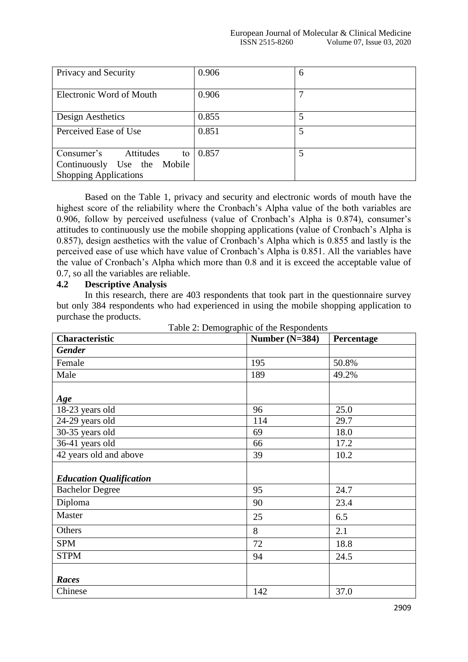| Privacy and Security                                                                         | 0.906 | 6 |
|----------------------------------------------------------------------------------------------|-------|---|
| Electronic Word of Mouth                                                                     | 0.906 |   |
| Design Aesthetics                                                                            | 0.855 | 5 |
| Perceived Ease of Use                                                                        | 0.851 | 5 |
| Consumer's<br>Attitudes<br>to<br>Continuously Use the Mobile<br><b>Shopping Applications</b> | 0.857 | 5 |

Based on the Table 1, privacy and security and electronic words of mouth have the highest score of the reliability where the Cronbach's Alpha value of the both variables are 0.906, follow by perceived usefulness (value of Cronbach's Alpha is 0.874), consumer's attitudes to continuously use the mobile shopping applications (value of Cronbach's Alpha is 0.857), design aesthetics with the value of Cronbach's Alpha which is 0.855 and lastly is the perceived ease of use which have value of Cronbach's Alpha is 0.851. All the variables have the value of Cronbach's Alpha which more than 0.8 and it is exceed the acceptable value of 0.7, so all the variables are reliable.

#### **4.2 Descriptive Analysis**

In this research, there are 403 respondents that took part in the questionnaire survey but only 384 respondents who had experienced in using the mobile shopping application to purchase the products.

| <b>Characteristic</b>          | Number $(N=384)$ | Percentage |
|--------------------------------|------------------|------------|
| <b>Gender</b>                  |                  |            |
| Female                         | 195              | 50.8%      |
| Male                           | 189              | 49.2%      |
|                                |                  |            |
| Age                            |                  |            |
| 18-23 years old                | 96               | 25.0       |
| 24-29 years old                | 114              | 29.7       |
| 30-35 years old                | 69               | 18.0       |
| 36-41 years old                | 66               | 17.2       |
| 42 years old and above         | 39               | 10.2       |
|                                |                  |            |
| <b>Education Qualification</b> |                  |            |
| <b>Bachelor Degree</b>         | 95               | 24.7       |
| Diploma                        | 90               | 23.4       |
| Master                         | 25               | 6.5        |
| Others                         | 8                | 2.1        |
| <b>SPM</b>                     | 72               | 18.8       |
| <b>STPM</b>                    | 94               | 24.5       |
|                                |                  |            |
| Races                          |                  |            |
| Chinese                        | 142              | 37.0       |

Table 2: Demographic of the Respondents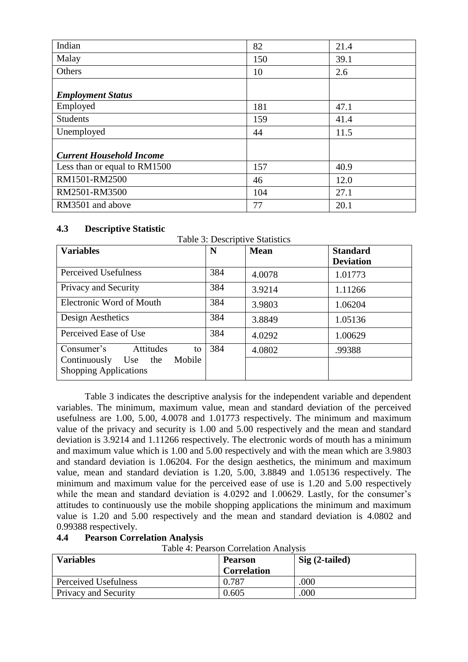| Indian                          | 82  | 21.4 |
|---------------------------------|-----|------|
| Malay                           | 150 | 39.1 |
| Others                          | 10  | 2.6  |
| <b>Employment Status</b>        |     |      |
| Employed                        | 181 | 47.1 |
| <b>Students</b>                 | 159 | 41.4 |
| Unemployed                      | 44  | 11.5 |
| <b>Current Household Income</b> |     |      |
| Less than or equal to RM1500    | 157 | 40.9 |
| RM1501-RM2500                   | 46  | 12.0 |
| RM2501-RM3500                   | 104 | 27.1 |
| RM3501 and above                | 77  | 20.1 |

## **4.3 Descriptive Statistic**

| Table 3: Descriptive Statistics                                |     |             |                                     |  |
|----------------------------------------------------------------|-----|-------------|-------------------------------------|--|
| <b>Variables</b>                                               | N   | <b>Mean</b> | <b>Standard</b><br><b>Deviation</b> |  |
| Perceived Usefulness                                           | 384 | 4.0078      | 1.01773                             |  |
| Privacy and Security                                           | 384 | 3.9214      | 1.11266                             |  |
| <b>Electronic Word of Mouth</b>                                | 384 | 3.9803      | 1.06204                             |  |
| Design Aesthetics                                              | 384 | 3.8849      | 1.05136                             |  |
| Perceived Ease of Use                                          | 384 | 4.0292      | 1.00629                             |  |
| Consumer's<br>Attitudes<br>to                                  | 384 | 4.0802      | .99388                              |  |
| Mobile<br>Continuously Use the<br><b>Shopping Applications</b> |     |             |                                     |  |

Table 3 indicates the descriptive analysis for the independent variable and dependent variables. The minimum, maximum value, mean and standard deviation of the perceived usefulness are 1.00, 5.00, 4.0078 and 1.01773 respectively. The minimum and maximum value of the privacy and security is 1.00 and 5.00 respectively and the mean and standard deviation is 3.9214 and 1.11266 respectively. The electronic words of mouth has a minimum and maximum value which is 1.00 and 5.00 respectively and with the mean which are 3.9803 and standard deviation is 1.06204. For the design aesthetics, the minimum and maximum value, mean and standard deviation is 1.20, 5.00, 3.8849 and 1.05136 respectively. The minimum and maximum value for the perceived ease of use is 1.20 and 5.00 respectively while the mean and standard deviation is 4.0292 and 1.00629. Lastly, for the consumer's attitudes to continuously use the mobile shopping applications the minimum and maximum value is 1.20 and 5.00 respectively and the mean and standard deviation is 4.0802 and 0.99388 respectively.

# **4.4 Pearson Correlation Analysis**

Table 4: Pearson Correlation Analysis

| <b>Variables</b>     | <b>Pearson</b><br><b>Correlation</b> | $Sig(2-tailed)$ |
|----------------------|--------------------------------------|-----------------|
| Perceived Usefulness | 0.787                                | .000            |
| Privacy and Security | 0.605                                | .000            |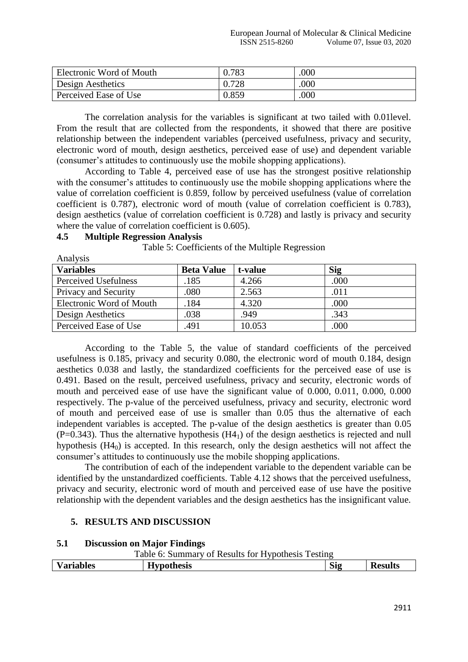| Electronic Word of Mouth | 0.783 | .000 |
|--------------------------|-------|------|
| Design Aesthetics        | 0.728 | .000 |
| Perceived Ease of Use    | 0.859 | .000 |

The correlation analysis for the variables is significant at two tailed with 0.01level. From the result that are collected from the respondents, it showed that there are positive relationship between the independent variables (perceived usefulness, privacy and security, electronic word of mouth, design aesthetics, perceived ease of use) and dependent variable (consumer's attitudes to continuously use the mobile shopping applications).

According to Table 4, perceived ease of use has the strongest positive relationship with the consumer's attitudes to continuously use the mobile shopping applications where the value of correlation coefficient is 0.859, follow by perceived usefulness (value of correlation coefficient is 0.787), electronic word of mouth (value of correlation coefficient is 0.783), design aesthetics (value of correlation coefficient is 0.728) and lastly is privacy and security where the value of correlation coefficient is 0.605).

Table 5: Coefficients of the Multiple Regression

| Analysis                 |                   |         |            |
|--------------------------|-------------------|---------|------------|
| <b>Variables</b>         | <b>Beta Value</b> | t-value | <b>Sig</b> |
| Perceived Usefulness     | .185              | 4.266   | .000       |
| Privacy and Security     | .080              | 2.563   | .011       |
| Electronic Word of Mouth | .184              | 4.320   | .000       |
| Design Aesthetics        | .038              | .949    | .343       |
| Perceived Ease of Use    | .491              | 10.053  | .000       |

## **4.5 Multiple Regression Analysis**

Analysis

According to the Table 5, the value of standard coefficients of the perceived usefulness is 0.185, privacy and security 0.080, the electronic word of mouth 0.184, design

aesthetics 0.038 and lastly, the standardized coefficients for the perceived ease of use is 0.491. Based on the result, perceived usefulness, privacy and security, electronic words of mouth and perceived ease of use have the significant value of 0.000, 0.011, 0.000, 0.000 respectively. The p-value of the perceived usefulness, privacy and security, electronic word of mouth and perceived ease of use is smaller than 0.05 thus the alternative of each independent variables is accepted. The p-value of the design aesthetics is greater than 0.05  $(P=0.343)$ . Thus the alternative hypothesis  $(H4<sub>1</sub>)$  of the design aesthetics is rejected and null hypothesis  $(H4_0)$  is accepted. In this research, only the design aesthetics will not affect the consumer's attitudes to continuously use the mobile shopping applications.

The contribution of each of the independent variable to the dependent variable can be identified by the unstandardized coefficients. Table 4.12 shows that the perceived usefulness, privacy and security, electronic word of mouth and perceived ease of use have the positive relationship with the dependent variables and the design aesthetics has the insignificant value.

# **5. RESULTS AND DISCUSSION**

# **5.1 Discussion on Major Findings**

Table 6: Summary of Results for Hypothesis Testing

|                                  |                                           | . . | - -                  |         |
|----------------------------------|-------------------------------------------|-----|----------------------|---------|
| $ -$<br>$-1$ $ -$<br>bles<br>۰a. | <b>TT</b><br>thesis<br>$- - - - -$<br>. . |     | O.<br>$\mathbf{S19}$ | 'esults |
|                                  |                                           |     |                      |         |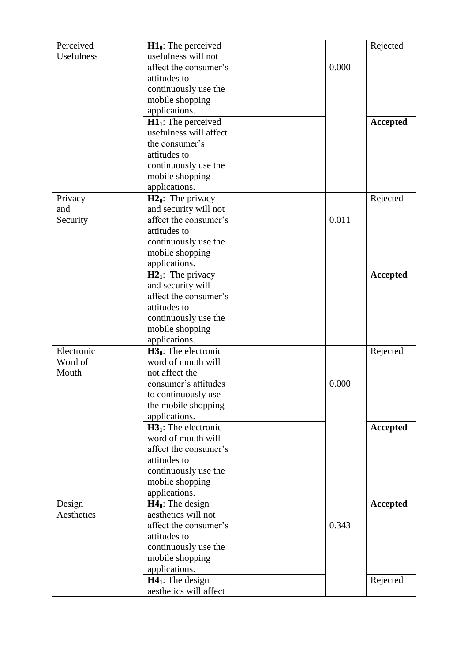| Perceived         | $H10$ : The perceived  |       | Rejected |
|-------------------|------------------------|-------|----------|
| <b>Usefulness</b> | usefulness will not    |       |          |
|                   | affect the consumer's  | 0.000 |          |
|                   | attitudes to           |       |          |
|                   | continuously use the   |       |          |
|                   | mobile shopping        |       |          |
|                   | applications.          |       |          |
|                   | $H11$ : The perceived  |       | Accepted |
|                   | usefulness will affect |       |          |
|                   | the consumer's         |       |          |
|                   | attitudes to           |       |          |
|                   | continuously use the   |       |          |
|                   | mobile shopping        |       |          |
|                   | applications.          |       |          |
| Privacy           | $H20$ : The privacy    |       | Rejected |
| and               | and security will not  |       |          |
| Security          | affect the consumer's  | 0.011 |          |
|                   | attitudes to           |       |          |
|                   | continuously use the   |       |          |
|                   | mobile shopping        |       |          |
|                   | applications.          |       |          |
|                   | $H21$ : The privacy    |       | Accepted |
|                   | and security will      |       |          |
|                   | affect the consumer's  |       |          |
|                   | attitudes to           |       |          |
|                   | continuously use the   |       |          |
|                   | mobile shopping        |       |          |
|                   | applications.          |       |          |
| Electronic        | $H30$ : The electronic |       | Rejected |
| Word of           | word of mouth will     |       |          |
| Mouth             | not affect the         |       |          |
|                   | consumer's attitudes   | 0.000 |          |
|                   | to continuously use    |       |          |
|                   | the mobile shopping    |       |          |
|                   | applications.          |       |          |
|                   | $H31$ : The electronic |       | Accepted |
|                   | word of mouth will     |       |          |
|                   | affect the consumer's  |       |          |
|                   | attitudes to           |       |          |
|                   | continuously use the   |       |          |
|                   | mobile shopping        |       |          |
|                   | applications.          |       |          |
| Design            | $H40$ : The design     |       | Accepted |
| Aesthetics        | aesthetics will not    |       |          |
|                   | affect the consumer's  | 0.343 |          |
|                   | attitudes to           |       |          |
|                   | continuously use the   |       |          |
|                   | mobile shopping        |       |          |
|                   | applications.          |       |          |
|                   | $H41:$ The design      |       | Rejected |
|                   | aesthetics will affect |       |          |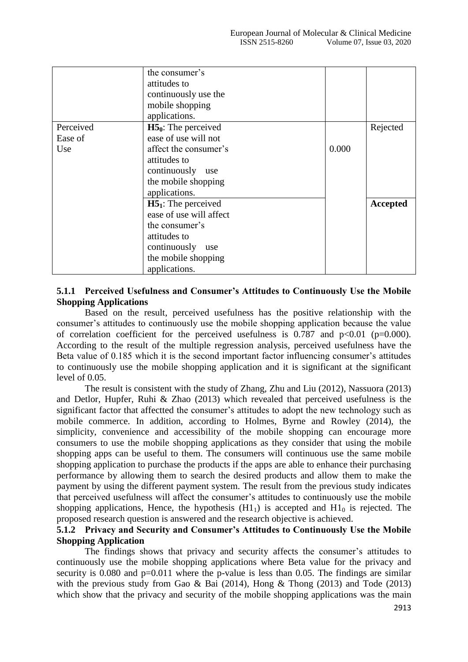|                             | the consumer's<br>attitudes to<br>continuously use the<br>mobile shopping                                                                             |       |          |
|-----------------------------|-------------------------------------------------------------------------------------------------------------------------------------------------------|-------|----------|
|                             | applications.                                                                                                                                         |       |          |
| Perceived<br>Ease of<br>Use | $H50$ : The perceived<br>ease of use will not<br>affect the consumer's<br>attitudes to<br>continuously<br>use<br>the mobile shopping<br>applications. | 0.000 | Rejected |
|                             | $H51$ : The perceived<br>ease of use will affect<br>the consumer's<br>attitudes to<br>continuously<br>use<br>the mobile shopping<br>applications.     |       | Accepted |

## **5.1.1 Perceived Usefulness and Consumer's Attitudes to Continuously Use the Mobile Shopping Applications**

Based on the result, perceived usefulness has the positive relationship with the consumer's attitudes to continuously use the mobile shopping application because the value of correlation coefficient for the perceived usefulness is  $0.787$  and  $p<0.01$  ( $p=0.000$ ). According to the result of the multiple regression analysis, perceived usefulness have the Beta value of 0.185 which it is the second important factor influencing consumer's attitudes to continuously use the mobile shopping application and it is significant at the significant level of 0.05.

The result is consistent with the study of Zhang, Zhu and Liu (2012), Nassuora (2013) and Detlor, Hupfer, Ruhi & Zhao (2013) which revealed that perceived usefulness is the significant factor that affectted the consumer's attitudes to adopt the new technology such as mobile commerce. In addition, according to Holmes, Byrne and Rowley (2014), the simplicity, convenience and accessibility of the mobile shopping can encourage more consumers to use the mobile shopping applications as they consider that using the mobile shopping apps can be useful to them. The consumers will continuous use the same mobile shopping application to purchase the products if the apps are able to enhance their purchasing performance by allowing them to search the desired products and allow them to make the payment by using the different payment system. The result from the previous study indicates that perceived usefulness will affect the consumer's attitudes to continuously use the mobile shopping applications, Hence, the hypothesis  $(H1<sub>1</sub>)$  is accepted and  $H1<sub>0</sub>$  is rejected. The proposed research question is answered and the research objective is achieved.

## **5.1.2 Privacy and Security and Consumer's Attitudes to Continuously Use the Mobile Shopping Application**

The findings shows that privacy and security affects the consumer's attitudes to continuously use the mobile shopping applications where Beta value for the privacy and security is 0.080 and  $p=0.011$  where the p-value is less than 0.05. The findings are similar with the previous study from Gao & Bai (2014), Hong & Thong (2013) and Tode (2013) which show that the privacy and security of the mobile shopping applications was the main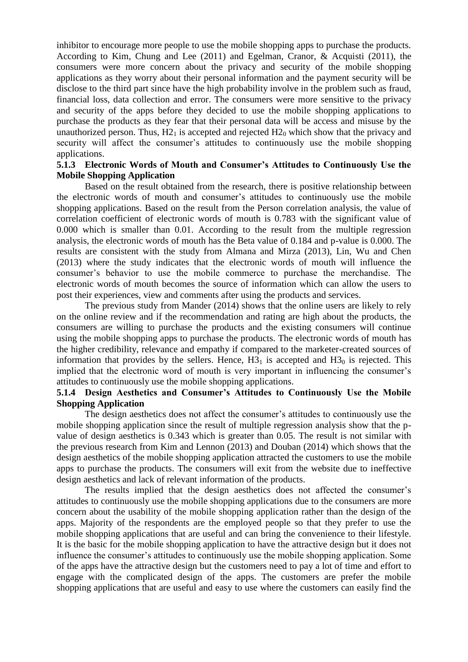inhibitor to encourage more people to use the mobile shopping apps to purchase the products. According to Kim, Chung and Lee (2011) and Egelman, Cranor, & Acquisti (2011), the consumers were more concern about the privacy and security of the mobile shopping applications as they worry about their personal information and the payment security will be disclose to the third part since have the high probability involve in the problem such as fraud, financial loss, data collection and error. The consumers were more sensitive to the privacy and security of the apps before they decided to use the mobile shopping applications to purchase the products as they fear that their personal data will be access and misuse by the unauthorized person. Thus,  $H2<sub>1</sub>$  is accepted and rejected  $H2<sub>0</sub>$  which show that the privacy and security will affect the consumer's attitudes to continuously use the mobile shopping applications.

## **5.1.3 Electronic Words of Mouth and Consumer's Attitudes to Continuously Use the Mobile Shopping Application**

Based on the result obtained from the research, there is positive relationship between the electronic words of mouth and consumer's attitudes to continuously use the mobile shopping applications. Based on the result from the Person correlation analysis, the value of correlation coefficient of electronic words of mouth is 0.783 with the significant value of 0.000 which is smaller than 0.01. According to the result from the multiple regression analysis, the electronic words of mouth has the Beta value of 0.184 and p-value is 0.000. The results are consistent with the study from Almana and Mirza (2013), Lin, Wu and Chen (2013) where the study indicates that the electronic words of mouth will influence the consumer's behavior to use the mobile commerce to purchase the merchandise. The electronic words of mouth becomes the source of information which can allow the users to post their experiences, view and comments after using the products and services.

The previous study from Mander (2014) shows that the online users are likely to rely on the online review and if the recommendation and rating are high about the products, the consumers are willing to purchase the products and the existing consumers will continue using the mobile shopping apps to purchase the products. The electronic words of mouth has the higher credibility, relevance and empathy if compared to the marketer-created sources of information that provides by the sellers. Hence,  $H3<sub>1</sub>$  is accepted and  $H3<sub>0</sub>$  is rejected. This implied that the electronic word of mouth is very important in influencing the consumer's attitudes to continuously use the mobile shopping applications.

## **5.1.4 Design Aesthetics and Consumer's Attitudes to Continuously Use the Mobile Shopping Application**

The design aesthetics does not affect the consumer's attitudes to continuously use the mobile shopping application since the result of multiple regression analysis show that the pvalue of design aesthetics is 0.343 which is greater than 0.05. The result is not similar with the previous research from Kim and Lennon (2013) and Douban (2014) which shows that the design aesthetics of the mobile shopping application attracted the customers to use the mobile apps to purchase the products. The consumers will exit from the website due to ineffective design aesthetics and lack of relevant information of the products.

The results implied that the design aesthetics does not affected the consumer's attitudes to continuously use the mobile shopping applications due to the consumers are more concern about the usability of the mobile shopping application rather than the design of the apps. Majority of the respondents are the employed people so that they prefer to use the mobile shopping applications that are useful and can bring the convenience to their lifestyle. It is the basic for the mobile shopping application to have the attractive design but it does not influence the consumer's attitudes to continuously use the mobile shopping application. Some of the apps have the attractive design but the customers need to pay a lot of time and effort to engage with the complicated design of the apps. The customers are prefer the mobile shopping applications that are useful and easy to use where the customers can easily find the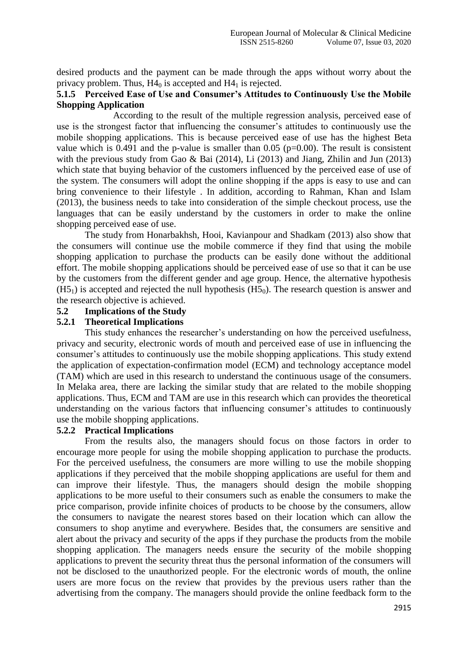desired products and the payment can be made through the apps without worry about the privacy problem. Thus,  $H4<sub>0</sub>$  is accepted and  $H4<sub>1</sub>$  is rejected.

#### **5.1.5 Perceived Ease of Use and Consumer's Attitudes to Continuously Use the Mobile Shopping Application**

According to the result of the multiple regression analysis, perceived ease of use is the strongest factor that influencing the consumer's attitudes to continuously use the mobile shopping applications. This is because perceived ease of use has the highest Beta value which is 0.491 and the p-value is smaller than 0.05 ( $p=0.00$ ). The result is consistent with the previous study from Gao & Bai (2014), Li (2013) and Jiang, Zhilin and Jun (2013) which state that buying behavior of the customers influenced by the perceived ease of use of the system. The consumers will adopt the online shopping if the apps is easy to use and can bring convenience to their lifestyle . In addition, according to Rahman, Khan and Islam (2013), the business needs to take into consideration of the simple checkout process, use the languages that can be easily understand by the customers in order to make the online shopping perceived ease of use.

The study from Honarbakhsh, Hooi, Kavianpour and Shadkam (2013) also show that the consumers will continue use the mobile commerce if they find that using the mobile shopping application to purchase the products can be easily done without the additional effort. The mobile shopping applications should be perceived ease of use so that it can be use by the customers from the different gender and age group. Hence, the alternative hypothesis  $(H5<sub>1</sub>)$  is accepted and rejected the null hypothesis  $(H5<sub>0</sub>)$ . The research question is answer and the research objective is achieved.

#### **5.2 Implications of the Study**

## **5.2.1 Theoretical Implications**

This study enhances the researcher's understanding on how the perceived usefulness, privacy and security, electronic words of mouth and perceived ease of use in influencing the consumer's attitudes to continuously use the mobile shopping applications. This study extend the application of expectation-confirmation model (ECM) and technology acceptance model (TAM) which are used in this research to understand the continuous usage of the consumers. In Melaka area, there are lacking the similar study that are related to the mobile shopping applications. Thus, ECM and TAM are use in this research which can provides the theoretical understanding on the various factors that influencing consumer's attitudes to continuously use the mobile shopping applications.

## **5.2.2 Practical Implications**

From the results also, the managers should focus on those factors in order to encourage more people for using the mobile shopping application to purchase the products. For the perceived usefulness, the consumers are more willing to use the mobile shopping applications if they perceived that the mobile shopping applications are useful for them and can improve their lifestyle. Thus, the managers should design the mobile shopping applications to be more useful to their consumers such as enable the consumers to make the price comparison, provide infinite choices of products to be choose by the consumers, allow the consumers to navigate the nearest stores based on their location which can allow the consumers to shop anytime and everywhere. Besides that, the consumers are sensitive and alert about the privacy and security of the apps if they purchase the products from the mobile shopping application. The managers needs ensure the security of the mobile shopping applications to prevent the security threat thus the personal information of the consumers will not be disclosed to the unauthorized people. For the electronic words of mouth, the online users are more focus on the review that provides by the previous users rather than the advertising from the company. The managers should provide the online feedback form to the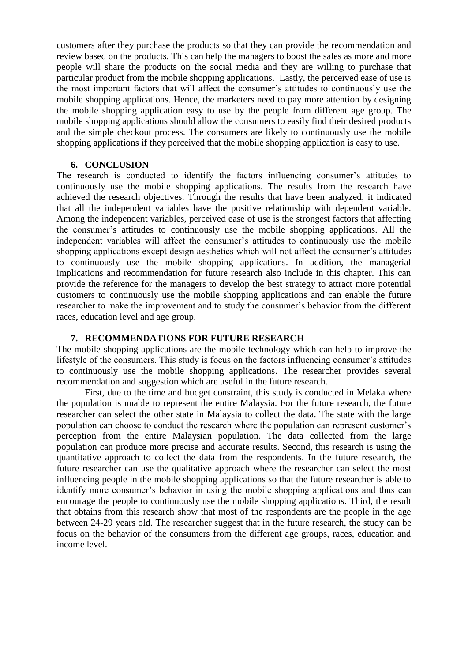customers after they purchase the products so that they can provide the recommendation and review based on the products. This can help the managers to boost the sales as more and more people will share the products on the social media and they are willing to purchase that particular product from the mobile shopping applications. Lastly, the perceived ease of use is the most important factors that will affect the consumer's attitudes to continuously use the mobile shopping applications. Hence, the marketers need to pay more attention by designing the mobile shopping application easy to use by the people from different age group. The mobile shopping applications should allow the consumers to easily find their desired products and the simple checkout process. The consumers are likely to continuously use the mobile shopping applications if they perceived that the mobile shopping application is easy to use.

#### **6. CONCLUSION**

The research is conducted to identify the factors influencing consumer's attitudes to continuously use the mobile shopping applications. The results from the research have achieved the research objectives. Through the results that have been analyzed, it indicated that all the independent variables have the positive relationship with dependent variable. Among the independent variables, perceived ease of use is the strongest factors that affecting the consumer's attitudes to continuously use the mobile shopping applications. All the independent variables will affect the consumer's attitudes to continuously use the mobile shopping applications except design aesthetics which will not affect the consumer's attitudes to continuously use the mobile shopping applications. In addition, the managerial implications and recommendation for future research also include in this chapter. This can provide the reference for the managers to develop the best strategy to attract more potential customers to continuously use the mobile shopping applications and can enable the future researcher to make the improvement and to study the consumer's behavior from the different races, education level and age group.

## **7. RECOMMENDATIONS FOR FUTURE RESEARCH**

The mobile shopping applications are the mobile technology which can help to improve the lifestyle of the consumers. This study is focus on the factors influencing consumer's attitudes to continuously use the mobile shopping applications. The researcher provides several recommendation and suggestion which are useful in the future research.

First, due to the time and budget constraint, this study is conducted in Melaka where the population is unable to represent the entire Malaysia. For the future research, the future researcher can select the other state in Malaysia to collect the data. The state with the large population can choose to conduct the research where the population can represent customer's perception from the entire Malaysian population. The data collected from the large population can produce more precise and accurate results. Second, this research is using the quantitative approach to collect the data from the respondents. In the future research, the future researcher can use the qualitative approach where the researcher can select the most influencing people in the mobile shopping applications so that the future researcher is able to identify more consumer's behavior in using the mobile shopping applications and thus can encourage the people to continuously use the mobile shopping applications. Third, the result that obtains from this research show that most of the respondents are the people in the age between 24-29 years old. The researcher suggest that in the future research, the study can be focus on the behavior of the consumers from the different age groups, races, education and income level.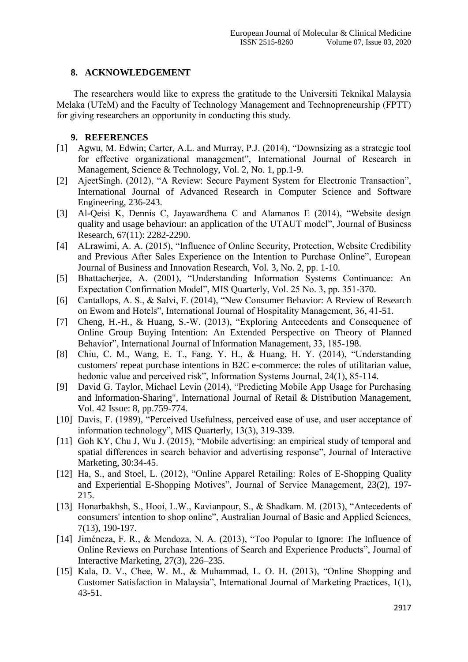# **8. ACKNOWLEDGEMENT**

The researchers would like to express the gratitude to the Universiti Teknikal Malaysia Melaka (UTeM) and the Faculty of Technology Management and Technopreneurship (FPTT) for giving researchers an opportunity in conducting this study.

## **9. REFERENCES**

- [1] Agwu, M. Edwin; Carter, A.L. and Murray, P.J. (2014), "Downsizing as a strategic tool for effective organizational management", International Journal of Research in Management, Science & Technology, Vol. 2, No. 1, pp.1-9.
- [2] AjeetSingh. (2012), "A Review: Secure Payment System for Electronic Transaction", International Journal of Advanced Research in Computer Science and Software Engineering, 236-243.
- [3] Al-Qeisi K, Dennis C, Jayawardhena C and Alamanos E (2014), "Website design quality and usage behaviour: an application of the UTAUT model", Journal of Business Research, 67(11): 2282-2290.
- [4] ALrawimi, A. A. (2015), "Influence of Online Security, Protection, Website Credibility and Previous After Sales Experience on the Intention to Purchase Online", European Journal of Business and Innovation Research, Vol. 3, No. 2, pp. 1-10.
- [5] Bhattacherjee, A. (2001), "Understanding Information Systems Continuance: An Expectation Confirmation Model", MIS Quarterly, Vol. 25 No. 3, pp. 351-370.
- [6] Cantallops, A. S., & Salvi, F. (2014), "New Consumer Behavior: A Review of Research on Ewom and Hotels", International Journal of Hospitality Management, 36, 41-51.
- [7] Cheng, H.-H., & Huang, S.-W. (2013), "Exploring Antecedents and Consequence of Online Group Buying Intention: An Extended Perspective on Theory of Planned Behavior", International Journal of Information Management, 33, 185-198.
- [8] Chiu, C. M., Wang, E. T., Fang, Y. H., & Huang, H. Y. (2014), "Understanding customers' repeat purchase intentions in B2C e-commerce: the roles of utilitarian value, hedonic value and perceived risk", Information Systems Journal, 24(1), 85-114.
- [9] David G. Taylor, Michael Levin (2014), "Predicting Mobile App Usage for Purchasing and Information-Sharing", International Journal of Retail & Distribution Management, Vol. 42 Issue: 8, pp.759-774.
- [10] Davis, F. (1989), "Perceived Usefulness, perceived ease of use, and user acceptance of information technology", MIS Quarterly, 13(3), 319-339.
- [11] Goh KY, Chu J, Wu J. (2015), "Mobile advertising: an empirical study of temporal and spatial differences in search behavior and advertising response", Journal of Interactive Marketing, 30:34-45.
- [12] Ha, S., and Stoel, L. (2012), "Online Apparel Retailing: Roles of E-Shopping Quality and Experiential E-Shopping Motives", Journal of Service Management, 23(2), 197-215.
- [13] Honarbakhsh, S., Hooi, L.W., Kavianpour, S., & Shadkam. M. (2013), "Antecedents of consumers' intention to shop online", Australian Journal of Basic and Applied Sciences, 7(13), 190-197.
- [14] Jiméneza, F. R., & Mendoza, N. A. (2013), "Too Popular to Ignore: The Influence of Online Reviews on Purchase Intentions of Search and Experience Products", Journal of Interactive Marketing, 27(3), 226–235.
- [15] Kala, D. V., Chee, W. M., & Muhammad, L. O. H. (2013), "Online Shopping and Customer Satisfaction in Malaysia", International Journal of Marketing Practices, 1(1), 43-51.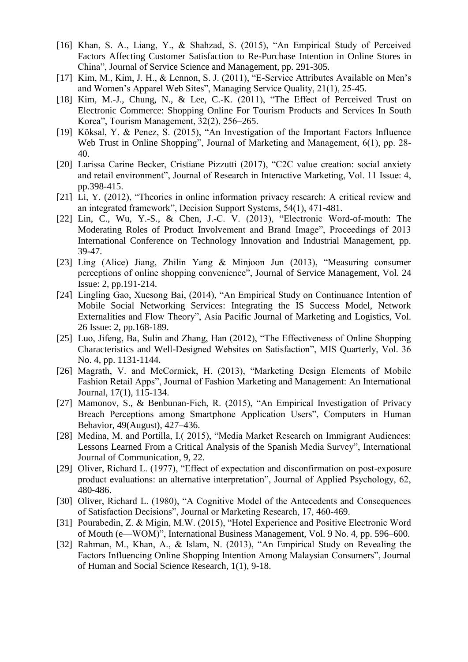- [16] Khan, S. A., Liang, Y., & Shahzad, S. (2015), "An Empirical Study of Perceived Factors Affecting Customer Satisfaction to Re-Purchase Intention in Online Stores in China", Journal of Service Science and Management, pp. 291-305.
- [17] Kim, M., Kim, J. H., & Lennon, S. J. (2011), "E-Service Attributes Available on Men's and Women's Apparel Web Sites", Managing Service Quality, 21(1), 25-45.
- [18] Kim, M.-J., Chung, N., & Lee, C.-K.  $(2011)$ , "The Effect of Perceived Trust on Electronic Commerce: Shopping Online For Tourism Products and Services In South Korea", Tourism Management,  $32(2)$ ,  $256-265$ .
- [19] Köksal, Y. & Penez, S. (2015), "An Investigation of the Important Factors Influence Web Trust in Online Shopping", Journal of Marketing and Management, 6(1), pp. 28-40.
- [20] Larissa Carine Becker, Cristiane Pizzutti (2017), "C2C value creation: social anxiety and retail environment", Journal of Research in Interactive Marketing, Vol. 11 Issue: 4, pp.398-415.
- [21] Li, Y. (2012), "Theories in online information privacy research: A critical review and an integrated framework", Decision Support Systems, 54(1), 471-481.
- $[22]$  Lin, C., Wu, Y.-S., & Chen, J.-C. V.  $(2013)$ , "Electronic Word-of-mouth: The Moderating Roles of Product Involvement and Brand Image", Proceedings of 2013 International Conference on Technology Innovation and Industrial Management, pp. 39-47.
- [23] Ling (Alice) Jiang, Zhilin Yang & Minjoon Jun (2013), "Measuring consumer perceptions of online shopping convenience", Journal of Service Management, Vol. 24 Issue: 2, pp.191-214.
- [24] Lingling Gao, Xuesong Bai, (2014), "An Empirical Study on Continuance Intention of Mobile Social Networking Services: Integrating the IS Success Model, Network Externalities and Flow Theory", Asia Pacific Journal of Marketing and Logistics, Vol. 26 Issue: 2, pp.168-189.
- [25] Luo, Jifeng, Ba, Sulin and Zhang, Han (2012), "The Effectiveness of Online Shopping Characteristics and Well-Designed Websites on Satisfaction", MIS Quarterly, Vol. 36 No. 4, pp. 1131-1144.
- [26] Magrath, V. and McCormick, H. (2013), "Marketing Design Elements of Mobile Fashion Retail Apps", Journal of Fashion Marketing and Management: An International Journal, 17(1), 115-134.
- [27] Mamonov, S., & Benbunan-Fich, R. (2015), "An Empirical Investigation of Privacy Breach Perceptions among Smartphone Application Users", Computers in Human Behavior, 49(August), 427–436.
- [28] Medina, M. and Portilla, I. (2015), "Media Market Research on Immigrant Audiences: Lessons Learned From a Critical Analysis of the Spanish Media Survey", International Journal of Communication, 9, 22.
- [29] Oliver, Richard L. (1977), "Effect of expectation and disconfirmation on post-exposure product evaluations: an alternative interpretation", Journal of Applied Psychology, 62, 480-486.
- [30] Oliver, Richard L. (1980), "A Cognitive Model of the Antecedents and Consequences of Satisfaction Decisions", Journal or Marketing Research, 17, 460-469.
- [31] Pourabedin, Z. & Migin, M.W. (2015), "Hotel Experience and Positive Electronic Word of Mouth (e—WOM)", International Business Management, Vol. 9 No. 4, pp. 596–600.
- [32] Rahman, M., Khan, A., & Islam, N. (2013), "An Empirical Study on Revealing the Factors Influencing Online Shopping Intention Among Malaysian Consumers", Journal of Human and Social Science Research, 1(1), 9-18.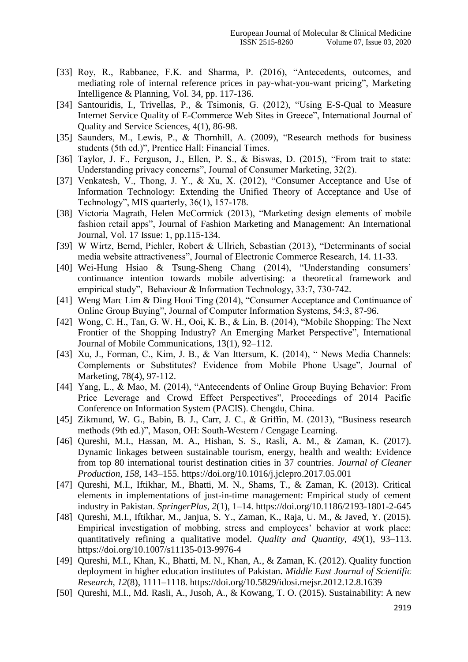- [33] Roy, R., Rabbanee, F.K. and Sharma, P. (2016), "Antecedents, outcomes, and mediating role of internal reference prices in pay-what-you-want pricing", Marketing Intelligence & Planning, Vol. 34, pp. 117-136.
- [34] Santouridis, I., Trivellas, P., & Tsimonis, G. (2012), "Using E-S-Qual to Measure Internet Service Quality of E-Commerce Web Sites in Greece", International Journal of Quality and Service Sciences, 4(1), 86-98.
- [35] Saunders, M., Lewis, P., & Thornhill, A. (2009), "Research methods for business students (5th ed.)", Prentice Hall: Financial Times.
- [36] Taylor, J. F., Ferguson, J., Ellen, P. S., & Biswas, D. (2015), "From trait to state: Understanding privacy concerns", Journal of Consumer Marketing, 32(2).
- [37] Venkatesh, V., Thong, J. Y., & Xu, X. (2012), "Consumer Acceptance and Use of Information Technology: Extending the Unified Theory of Acceptance and Use of Technology", MIS quarterly,  $36(1)$ ,  $157-178$ .
- [38] Victoria Magrath, Helen McCormick (2013), "Marketing design elements of mobile fashion retail apps", Journal of Fashion Marketing and Management: An International Journal, Vol. 17 Issue: 1, pp.115-134.
- [39] W Wirtz, Bernd, Piehler, Robert & Ullrich, Sebastian (2013), "Determinants of social media website attractiveness", Journal of Electronic Commerce Research, 14. 11-33.
- [40] Wei-Hung Hsiao & Tsung-Sheng Chang (2014), "Understanding consumers' continuance intention towards mobile advertising: a theoretical framework and empirical study", Behaviour & Information Technology, 33:7, 730-742.
- [41] Weng Marc Lim & Ding Hooi Ting (2014), "Consumer Acceptance and Continuance of Online Group Buying", Journal of Computer Information Systems, 54:3, 87-96.
- [42] Wong, C. H., Tan, G. W. H., Ooi, K. B., & Lin, B. (2014), "Mobile Shopping: The Next Frontier of the Shopping Industry? An Emerging Market Perspective", International Journal of Mobile Communications, 13(1), 92–112.
- [43] Xu, J., Forman, C., Kim, J. B., & Van Ittersum, K. (2014), "News Media Channels: Complements or Substitutes? Evidence from Mobile Phone Usage", Journal of Marketing, 78(4), 97-112.
- [44] Yang, L., & Mao, M. (2014), "Antecendents of Online Group Buying Behavior: From Price Leverage and Crowd Effect Perspectives", Proceedings of 2014 Pacific Conference on Information System (PACIS). Chengdu, China.
- [45] Zikmund, W. G., Babin, B. J., Carr, J. C., & Griffin, M. (2013), "Business research methods (9th ed.)", Mason, OH: South-Western / Cengage Learning.
- [46] Qureshi, M.I., Hassan, M. A., Hishan, S. S., Rasli, A. M., & Zaman, K. (2017). Dynamic linkages between sustainable tourism, energy, health and wealth: Evidence from top 80 international tourist destination cities in 37 countries. *Journal of Cleaner Production*, *158*, 143–155. https://doi.org/10.1016/j.jclepro.2017.05.001
- [47] Qureshi, M.I., Iftikhar, M., Bhatti, M. N., Shams, T., & Zaman, K. (2013). Critical elements in implementations of just-in-time management: Empirical study of cement industry in Pakistan. *SpringerPlus*, *2*(1), 1–14. https://doi.org/10.1186/2193-1801-2-645
- [48] Qureshi, M.I., Iftikhar, M., Janjua, S. Y., Zaman, K., Raja, U. M., & Javed, Y. (2015). Empirical investigation of mobbing, stress and employees' behavior at work place: quantitatively refining a qualitative model. *Quality and Quantity*, *49*(1), 93–113. https://doi.org/10.1007/s11135-013-9976-4
- [49] Qureshi, M.I., Khan, K., Bhatti, M. N., Khan, A., & Zaman, K. (2012). Quality function deployment in higher education institutes of Pakistan. *Middle East Journal of Scientific Research*, *12*(8), 1111–1118. https://doi.org/10.5829/idosi.mejsr.2012.12.8.1639
- [50] Qureshi, M.I., Md. Rasli, A., Jusoh, A., & Kowang, T. O. (2015). Sustainability: A new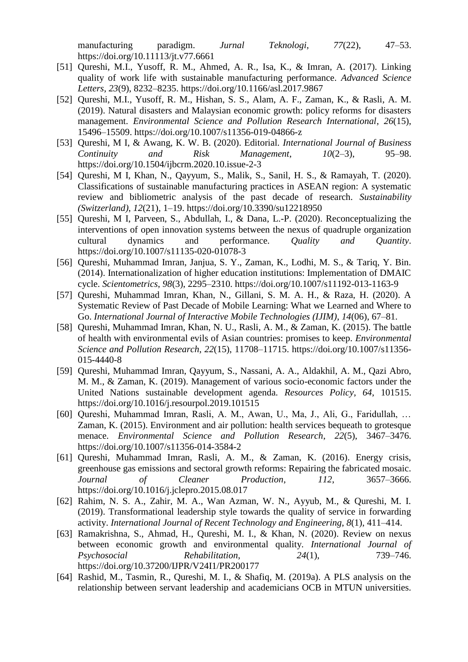manufacturing paradigm. *Jurnal Teknologi*, *77*(22), 47–53. https://doi.org/10.11113/jt.v77.6661

- [51] Qureshi, M.I., Yusoff, R. M., Ahmed, A. R., Isa, K., & Imran, A. (2017). Linking quality of work life with sustainable manufacturing performance. *Advanced Science Letters*, *23*(9), 8232–8235. https://doi.org/10.1166/asl.2017.9867
- [52] Qureshi, M.I., Yusoff, R. M., Hishan, S. S., Alam, A. F., Zaman, K., & Rasli, A. M. (2019). Natural disasters and Malaysian economic growth: policy reforms for disasters management. *Environmental Science and Pollution Research International*, *26*(15), 15496–15509. https://doi.org/10.1007/s11356-019-04866-z
- [53] Qureshi, M I, & Awang, K. W. B. (2020). Editorial. *International Journal of Business Continuity and Risk Management*, *10*(2–3), 95–98. https://doi.org/10.1504/ijbcrm.2020.10.issue-2-3
- [54] Qureshi, M I, Khan, N., Qayyum, S., Malik, S., Sanil, H. S., & Ramayah, T. (2020). Classifications of sustainable manufacturing practices in ASEAN region: A systematic review and bibliometric analysis of the past decade of research. *Sustainability (Switzerland)*, *12*(21), 1–19. https://doi.org/10.3390/su12218950
- [55] Qureshi, M I, Parveen, S., Abdullah, I., & Dana, L.-P. (2020). Reconceptualizing the interventions of open innovation systems between the nexus of quadruple organization cultural dynamics and performance. *Quality and Quantity*. https://doi.org/10.1007/s11135-020-01078-3
- [56] Qureshi, Muhammad Imran, Janjua, S. Y., Zaman, K., Lodhi, M. S., & Tariq, Y. Bin. (2014). Internationalization of higher education institutions: Implementation of DMAIC cycle. *Scientometrics*, *98*(3), 2295–2310. https://doi.org/10.1007/s11192-013-1163-9
- [57] Qureshi, Muhammad Imran, Khan, N., Gillani, S. M. A. H., & Raza, H. (2020). A Systematic Review of Past Decade of Mobile Learning: What we Learned and Where to Go. *International Journal of Interactive Mobile Technologies (IJIM)*, *14*(06), 67–81.
- [58] Qureshi, Muhammad Imran, Khan, N. U., Rasli, A. M., & Zaman, K. (2015). The battle of health with environmental evils of Asian countries: promises to keep. *Environmental Science and Pollution Research*, *22*(15), 11708–11715. https://doi.org/10.1007/s11356- 015-4440-8
- [59] Qureshi, Muhammad Imran, Qayyum, S., Nassani, A. A., Aldakhil, A. M., Qazi Abro, M. M., & Zaman, K. (2019). Management of various socio-economic factors under the United Nations sustainable development agenda. *Resources Policy*, *64*, 101515. https://doi.org/10.1016/j.resourpol.2019.101515
- [60] Qureshi, Muhammad Imran, Rasli, A. M., Awan, U., Ma, J., Ali, G., Faridullah, … Zaman, K. (2015). Environment and air pollution: health services bequeath to grotesque menace. *Environmental Science and Pollution Research*, *22*(5), 3467–3476. https://doi.org/10.1007/s11356-014-3584-2
- [61] Qureshi, Muhammad Imran, Rasli, A. M., & Zaman, K. (2016). Energy crisis, greenhouse gas emissions and sectoral growth reforms: Repairing the fabricated mosaic. *Journal of Cleaner Production*, *112*, 3657–3666. https://doi.org/10.1016/j.jclepro.2015.08.017
- [62] Rahim, N. S. A., Zahir, M. A., Wan Azman, W. N., Ayyub, M., & Qureshi, M. I. (2019). Transformational leadership style towards the quality of service in forwarding activity. *International Journal of Recent Technology and Engineering*, *8*(1), 411–414.
- [63] Ramakrishna, S., Ahmad, H., Qureshi, M. I., & Khan, N. (2020). Review on nexus between economic growth and environmental quality. *International Journal of Psychosocial Rehabilitation*, *24*(1), 739–746. https://doi.org/10.37200/IJPR/V24I1/PR200177
- [64] Rashid, M., Tasmin, R., Qureshi, M. I., & Shafiq, M. (2019a). A PLS analysis on the relationship between servant leadership and academicians OCB in MTUN universities.